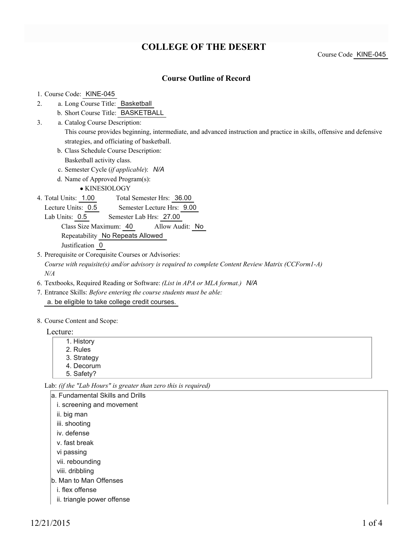# **COLLEGE OF THE DESERT**

Course Code KINE-045

#### **Course Outline of Record**

#### 1. Course Code: KINE-045

- a. Long Course Title: Basketball 2.
	- b. Short Course Title: BASKETBALL
- Catalog Course Description: a. 3.

This course provides beginning, intermediate, and advanced instruction and practice in skills, offensive and defensive strategies, and officiating of basketball.

- b. Class Schedule Course Description: Basketball activity class.
- c. Semester Cycle (*if applicable*): *N/A*
- d. Name of Approved Program(s):

KINESIOLOGY

Total Semester Hrs: 36.00 4. Total Units: 1.00

Lecture Units: 0.5 Semester Lecture Hrs: 9.00

Lab Units: 0.5 Semester Lab Hrs: 27.00

Class Size Maximum: 40 Allow Audit: No Repeatability No Repeats Allowed

Justification 0

5. Prerequisite or Corequisite Courses or Advisories:

*Course with requisite(s) and/or advisory is required to complete Content Review Matrix (CCForm1-A) N/A*

- 6. Textbooks, Required Reading or Software: *(List in APA or MLA format.) N/A*
- Entrance Skills: *Before entering the course students must be able:* 7. a. be eligible to take college credit courses.
- 8. Course Content and Scope:

Lecture:

- 1. History 2. Rules 3. Strategy
- 4. Decorum

5. Safety?

Lab: *(if the "Lab Hours" is greater than zero this is required)*

| la. Fundamental Skills and Drills |
|-----------------------------------|
| i. screening and movement         |
| ii. big man                       |
| iii. shooting                     |
| iv. defense                       |
| v. fast break                     |
| vi passing                        |
| vii. rebounding                   |
|                                   |

- viii. dribbling
- b. Man to Man Offenses
	- i. flex offense
	- ii. triangle power offense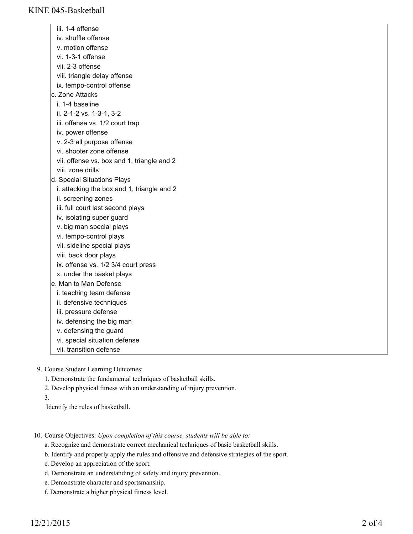iii. 1-4 offense iv. shuffle offense v. motion offense vi. 1-3-1 offense vii. 2-3 offense viii. triangle delay offense ix. tempo-control offense c. Zone Attacks i. 1-4 baseline ii. 2-1-2 vs. 1-3-1, 3-2 iii. offense vs. 1/2 court trap iv. power offense v. 2-3 all purpose offense vi. shooter zone offense vii. offense vs. box and 1, triangle and 2 viii. zone drills d. Special Situations Plays i. attacking the box and 1, triangle and 2 ii. screening zones iii. full court last second plays iv. isolating super guard v. big man special plays vi. tempo-control plays vii. sideline special plays viii. back door plays ix. offense vs. 1/2 3/4 court press x. under the basket plays e. Man to Man Defense i. teaching team defense ii. defensive techniques iii. pressure defense iv. defensing the big man v. defensing the guard vi. special situation defense vii. transition defense

- 9. Course Student Learning Outcomes:
	- 1. Demonstrate the fundamental techniques of basketball skills.
	- 2. Develop physical fitness with an understanding of injury prevention.
	- 3.
	- Identify the rules of basketball.
- 10. Course Objectives: Upon completion of this course, students will be able to:
	- a. Recognize and demonstrate correct mechanical techniques of basic basketball skills.
	- b. Identify and properly apply the rules and offensive and defensive strategies of the sport.
	- c. Develop an appreciation of the sport.
	- d. Demonstrate an understanding of safety and injury prevention.
	- e. Demonstrate character and sportsmanship.
	- f. Demonstrate a higher physical fitness level.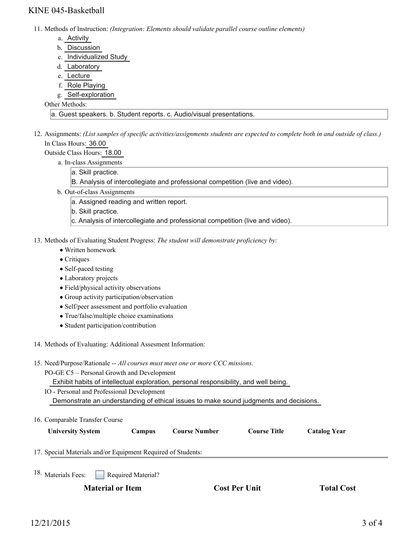## KINE 045-Basketball

11. Methods of Instruction: *(Integration: Elements should validate parallel course outline elements)* 

- a. Activity
- b. Discussion
- c. Individualized Study
- d. Laboratory
- e. Lecture
- f. Role Playing
- g. Self-exploration

#### Other Methods:

a. Guest speakers. b. Student reports. c. Audio/visual presentations.

- 12. Assignments: (List samples of specific activities/assignments students are expected to complete both in and outside of class.) In Class Hours: 36.00
	- Outside Class Hours: 18.00
		- a. In-class Assignments
			- a. Skill practice.
			- B. Analysis of intercollegiate and professional competition (live and video).
		- b. Out-of-class Assignments
			- a. Assigned reading and written report.
			- b. Skill practice.
			- c. Analysis of intercollegiate and professional competition (live and video).
- 13. Methods of Evaluating Student Progress: The student will demonstrate proficiency by:
	- Written homework
	- Critiques
	- Self-paced testing
	- Laboratory projects
	- Field/physical activity observations
	- Group activity participation/observation
	- Self/peer assessment and portfolio evaluation
	- True/false/multiple choice examinations
	- Student participation/contribution
- 14. Methods of Evaluating: Additional Assesment Information:
- 15. Need/Purpose/Rationale -- All courses must meet one or more CCC missions.
	- PO-GE C5 Personal Growth and Development

Exhibit habits of intellectual exploration, personal responsibility, and well being.

- IO Personal and Professional Development Demonstrate an understanding of ethical issues to make sound judgments and decisions.
- 16. Comparable Transfer Course

| <b>University System</b>                                     | <b>Campus</b> | <b>Course Number</b> | <b>Course Title</b> | <b>Catalog Year</b> |  |
|--------------------------------------------------------------|---------------|----------------------|---------------------|---------------------|--|
| 17. Special Materials and/or Equipment Required of Students: |               |                      |                     |                     |  |

Required Material? <sup>18.</sup> Materials Fees:

**Material or Item Cost Per Unit Total Cost Per Unit Total Cost**